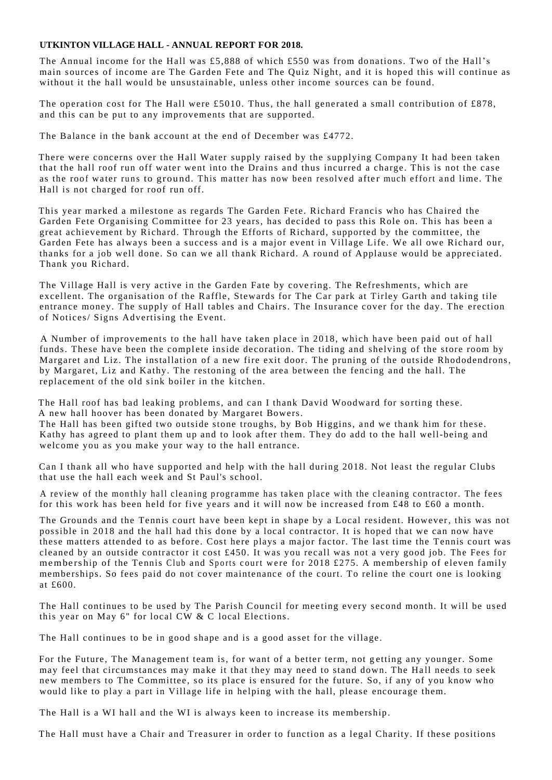## **UTKINTON VILLAGE HALL - ANNUAL REPORT FOR 2018.**

The Annual income for the Hall was £5,888 of which £550 was from donations. Two of the Hall's main sources of income are The Garden Fete and The Quiz Night, and it is hoped this will continue as without it the hall would be unsustainable, unless other income sources can be found.

The operation cost for The Hall were £5010. Thus, the hall generated a small contribution of £878, and this can be put to any improvements that are supported.

The Balance in the bank account at the end of December was £4772.

There were concerns over the Hall Water supply raised by the supplying Company It had been taken that the hall roof run off water went into the Drains and thus incurred a charge. This is not the case as the roof water runs to ground. This matter has now been resolved after much effort and lime. The Hall is not charged for roof run off.

This year marked a milestone as regards The Garden Fete. Richard Francis who has Chaired the Garden Fete Organising Committee for 23 years, has decided to pass this Role on. This has been a great achievement by Richard. Through the Efforts of Richard, supported by the committee, the Garden Fete has always been a success and is a major event in Village Life. We all owe Richard our, thanks for a job well done. So can we all thank Richard. A round of Applause would be appreciated. Thank you Richard.

The Village Hall is very active in the Garden Fate by covering. The Refreshments, which are excellent. The organisation of the Raffle, Stewards for The Car park at Tirley Garth and taking tile entrance money. The supply of Hall tables and Chairs. The Insurance cover for the day. The erection of Notices/ Signs Advertising the Event.

A Number of improvements to the hall have taken place in 2018, which have been paid out of hall funds. These have been the complete inside decoration. The tiding and shelving of the store room by Margaret and Liz. The installation of a new fire exit door. The pruning of the outside Rhododendrons, by Margaret, Liz and Kathy. The restoning of the area between the fencing and the hall. The replacement of the old sink boiler in the kitchen.

The Hall roof has bad leaking problems, and can I thank David Woodward for sorting these. A new hall hoover has been donated by Margaret Bowers.

The Hall has been gifted two outside stone troughs, by Bob Higgins, and we thank him for these. Kathy has agreed to plant them up and to look after them. They do add to the hall well-being and welcome you as you make your way to the hall entrance.

Can I thank all who have supported and help with the hall during 2018. Not least the regular Clubs that use the hall each week and St Paul's school.

A review of the monthly hall cleaning programme has taken place with the cleaning contractor. The fees for this work has been held for five years and it will now be increased from £48 to £60 a month.

The Grounds and the Tennis court have been kept in shape by a Local resident. However, this was not possible in 2018 and the hall had this done by a local contractor. It is hoped that we can now have these matters attended to as before. Cost here plays a major factor. The last time the Tennis court was cleaned by an outside contractor it cost £450. It was you recall was not a very good job. The Fees for members hip of the Tennis Club and Sports court were for 2018 £275. A membership of eleven family memberships. So fees paid do not cover maintenance of the court. To reline the court one is looking at £600.

The Hall continues to be used by The Parish Council for meeting every second month. It will be used this year on May 6" for local  $CW \& C$  local Elections.

The Hall continues to be in good shape and is a good asset for the village.

For the Future, The Management team is, for want of a better term, not getting any younger. Some may feel that circumstances may make it that they may need to stand down. The Hall needs to seek new members to The Committee, so its place is ensured for the future. So, if any of you know who would like to play a part in Village life in helping with the hall, please encourage them.

The Hall is a WI hall and the WI is always keen to increase its membership.

The Hall must have a Chair and Treasurer in order to function as a legal Charity. If these positions